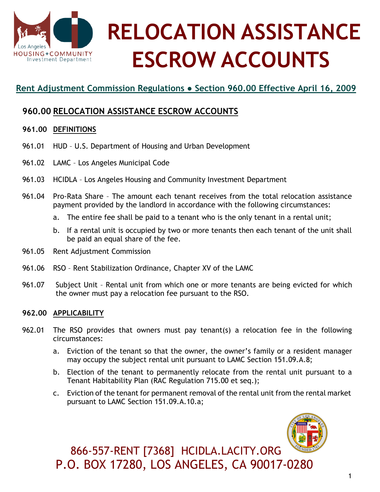

# **RELOCATION ASSISTANCE ESCROW ACCOUNTS**

## **Rent Adjustment Commission Regulations ● Section 960.00 Effective April 16, 2009**

## **960.00 RELOCATION ASSISTANCE ESCROW ACCOUNTS**

#### **961.00 DEFINITIONS**

- 961.01 HUD U.S. Department of Housing and Urban Development
- 961.02 LAMC Los Angeles Municipal Code
- 961.03 HCIDLA Los Angeles Housing and Community Investment Department
- 961.04 Pro-Rata Share The amount each tenant receives from the total relocation assistance payment provided by the landlord in accordance with the following circumstances:
	- a. The entire fee shall be paid to a tenant who is the only tenant in a rental unit;
	- b. If a rental unit is occupied by two or more tenants then each tenant of the unit shall be paid an equal share of the fee.
- 961.05 Rent Adjustment Commission
- 961.06 RSO Rent Stabilization Ordinance, Chapter XV of the LAMC
- 961.07 Subject Unit Rental unit from which one or more tenants are being evicted for which the owner must pay a relocation fee pursuant to the RSO.

#### **962.00 APPLICABILITY**

- 962.01 The RSO provides that owners must pay tenant(s) a relocation fee in the following circumstances:
	- a. Eviction of the tenant so that the owner, the owner's family or a resident manager may occupy the subject rental unit pursuant to LAMC Section 151.09.A.8;
	- b. Election of the tenant to permanently relocate from the rental unit pursuant to a Tenant Habitability Plan (RAC Regulation 715.00 et seq.);
	- c. Eviction of the tenant for permanent removal of the rental unit from the rental market pursuant to LAMC Section 151.09.A.10.a;



866-557-RENT [7368] HCIDLA.LACITY.ORG P.O. BOX 17280, LOS ANGELES, CA 90017-0280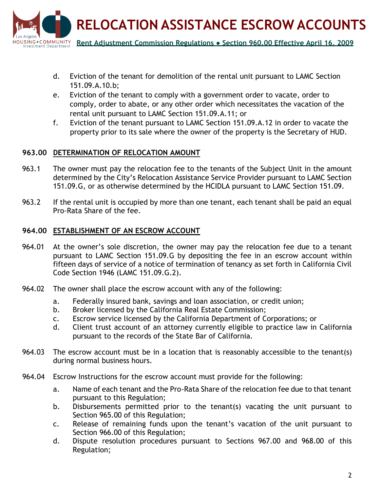

- d. Eviction of the tenant for demolition of the rental unit pursuant to LAMC Section 151.09.A.10.b;
- e. Eviction of the tenant to comply with a government order to vacate, order to comply, order to abate, or any other order which necessitates the vacation of the rental unit pursuant to LAMC Section 151.09.A.11; or
- f. Eviction of the tenant pursuant to LAMC Section 151.09.A.12 in order to vacate the property prior to its sale where the owner of the property is the Secretary of HUD.

#### **963.00 DETERMINATION OF RELOCATION AMOUNT**

- 963.1 The owner must pay the relocation fee to the tenants of the Subject Unit in the amount determined by the City's Relocation Assistance Service Provider pursuant to LAMC Section 151.09.G, or as otherwise determined by the HCIDLA pursuant to LAMC Section 151.09.
- 963.2 If the rental unit is occupied by more than one tenant, each tenant shall be paid an equal Pro-Rata Share of the fee.

#### **964.00 ESTABLISHMENT OF AN ESCROW ACCOUNT**

- 964.01 At the owner's sole discretion, the owner may pay the relocation fee due to a tenant pursuant to LAMC Section 151.09.G by depositing the fee in an escrow account within fifteen days of service of a notice of termination of tenancy as set forth in California Civil Code Section 1946 (LAMC 151.09.G.2).
- 964.02 The owner shall place the escrow account with any of the following:
	- a. Federally insured bank, savings and loan association, or credit union;
	- b. Broker licensed by the California Real Estate Commission;
	- c. Escrow service licensed by the California Department of Corporations; or
	- d. Client trust account of an attorney currently eligible to practice law in California pursuant to the records of the State Bar of California.
- 964.03 The escrow account must be in a location that is reasonably accessible to the tenant(s) during normal business hours.
- 964.04 Escrow Instructions for the escrow account must provide for the following:
	- a. Name of each tenant and the Pro-Rata Share of the relocation fee due to that tenant pursuant to this Regulation;
	- b. Disbursements permitted prior to the tenant(s) vacating the unit pursuant to Section 965.00 of this Regulation;
	- c. Release of remaining funds upon the tenant's vacation of the unit pursuant to Section 966.00 of this Regulation;
	- d. Dispute resolution procedures pursuant to Sections 967.00 and 968.00 of this Regulation;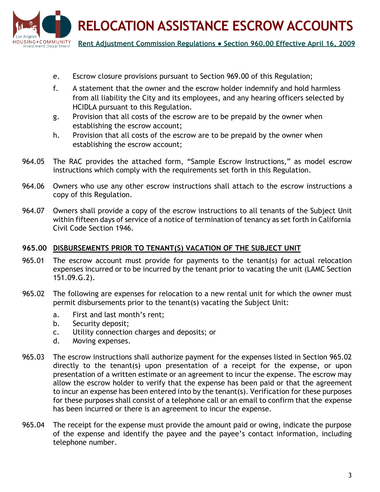

- e. Escrow closure provisions pursuant to Section 969.00 of this Regulation;
- f. A statement that the owner and the escrow holder indemnify and hold harmless from all liability the City and its employees, and any hearing officers selected by HCIDLA pursuant to this Regulation.
- g. Provision that all costs of the escrow are to be prepaid by the owner when establishing the escrow account;
- h. Provision that all costs of the escrow are to be prepaid by the owner when establishing the escrow account;
- 964.05 The RAC provides the attached form, "Sample Escrow Instructions," as model escrow instructions which comply with the requirements set forth in this Regulation.
- 964.06 Owners who use any other escrow instructions shall attach to the escrow instructions a copy of this Regulation.
- 964.07 Owners shall provide a copy of the escrow instructions to all tenants of the Subject Unit within fifteen days of service of a notice of termination of tenancy as set forth in California Civil Code Section 1946.

#### **965.00 DISBURSEMENTS PRIOR TO TENANT(S) VACATION OF THE SUBJECT UNIT**

- 965.01 The escrow account must provide for payments to the tenant(s) for actual relocation expenses incurred or to be incurred by the tenant prior to vacating the unit (LAMC Section 151.09.G.2).
- 965.02 The following are expenses for relocation to a new rental unit for which the owner must permit disbursements prior to the tenant(s) vacating the Subject Unit:
	- a. First and last month's rent;
	- b. Security deposit;
	- c. Utility connection charges and deposits; or
	- d. Moving expenses.
- 965.03 The escrow instructions shall authorize payment for the expenses listed in Section 965.02 directly to the tenant(s) upon presentation of a receipt for the expense, or upon presentation of a written estimate or an agreement to incur the expense. The escrow may allow the escrow holder to verify that the expense has been paid or that the agreement to incur an expense has been entered into by the tenant(s). Verification for these purposes for these purposes shall consist of a telephone call or an email to confirm that the expense has been incurred or there is an agreement to incur the expense.
- 965.04 The receipt for the expense must provide the amount paid or owing, indicate the purpose of the expense and identify the payee and the payee's contact information, including telephone number.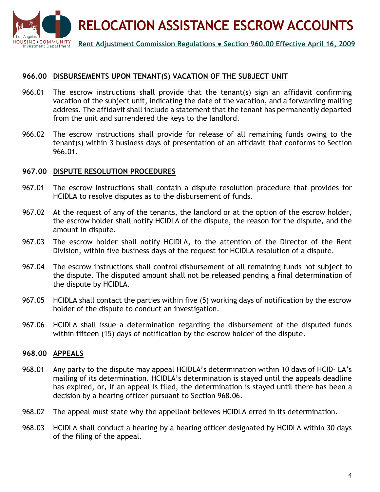

#### **966.00 DISBURSEMENTS UPON TENANT(S) VACATION OF THE SUBJECT UNIT**

- 966.01 The escrow instructions shall provide that the tenant(s) sign an affidavit confirming vacation of the subject unit, indicating the date of the vacation, and a forwarding mailing address. The affidavit shall include a statement that the tenant has permanently departed from the unit and surrendered the keys to the landlord.
- 966.02 The escrow instructions shall provide for release of all remaining funds owing to the tenant(s) within 3 business days of presentation of an affidavit that conforms to Section 966.01.

#### **967.00 DISPUTE RESOLUTION PROCEDURES**

- 967.01 The escrow instructions shall contain a dispute resolution procedure that provides for HCIDLA to resolve disputes as to the disbursement of funds.
- 967.02 At the request of any of the tenants, the landlord or at the option of the escrow holder, the escrow holder shall notify HCIDLA of the dispute, the reason for the dispute, and the amount in dispute.
- 967.03 The escrow holder shall notify HCIDLA, to the attention of the Director of the Rent Division, within five business days of the request for HCIDLA resolution of a dispute.
- 967.04 The escrow instructions shall control disbursement of all remaining funds not subject to the dispute. The disputed amount shall not be released pending a final determination of the dispute by HCIDLA.
- 967.05 HCIDLA shall contact the parties within five (5) working days of notification by the escrow holder of the dispute to conduct an investigation.
- 967.06 HCIDLA shall issue a determination regarding the disbursement of the disputed funds within fifteen (15) days of notification by the escrow holder of the dispute.

#### **968.00 APPEALS**

- 968.01 Any party to the dispute may appeal HCIDLA's determination within 10 days of HCID- LA's mailing of its determination. HCIDLA's determination is stayed until the appeals deadline has expired, or, if an appeal is filed, the determination is stayed until there has been a decision by a hearing officer pursuant to Section 968.06.
- 968.02 The appeal must state why the appellant believes HCIDLA erred in its determination.
- 968.03 HCIDLA shall conduct a hearing by a hearing officer designated by HCIDLA within 30 days of the filing of the appeal.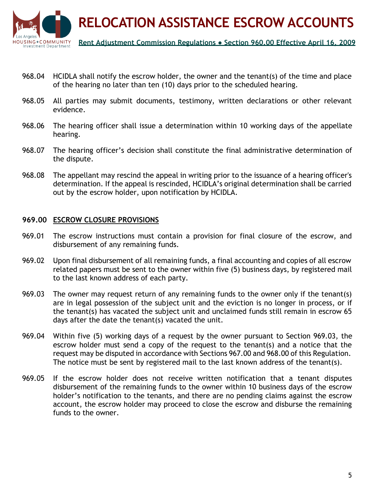

- 968.04 HCIDLA shall notify the escrow holder, the owner and the tenant(s) of the time and place of the hearing no later than ten (10) days prior to the scheduled hearing.
- 968.05 All parties may submit documents, testimony, written declarations or other relevant evidence.
- 968.06 The hearing officer shall issue a determination within 10 working days of the appellate hearing.
- 968.07 The hearing officer's decision shall constitute the final administrative determination of the dispute.
- 968.08 The appellant may rescind the appeal in writing prior to the issuance of a hearing officer's determination. If the appeal is rescinded, HCIDLA's original determination shall be carried out by the escrow holder, upon notification by HCIDLA.

#### **969.00 ESCROW CLOSURE PROVISIONS**

- 969.01 The escrow instructions must contain a provision for final closure of the escrow, and disbursement of any remaining funds.
- 969.02 Upon final disbursement of all remaining funds, a final accounting and copies of all escrow related papers must be sent to the owner within five (5) business days, by registered mail to the last known address of each party.
- 969.03 The owner may request return of any remaining funds to the owner only if the tenant(s) are in legal possession of the subject unit and the eviction is no longer in process, or if the tenant(s) has vacated the subject unit and unclaimed funds still remain in escrow 65 days after the date the tenant(s) vacated the unit.
- 969.04 Within five (5) working days of a request by the owner pursuant to Section 969.03, the escrow holder must send a copy of the request to the tenant(s) and a notice that the request may be disputed in accordance with Sections 967.00 and 968.00 of this Regulation. The notice must be sent by registered mail to the last known address of the tenant(s).
- 969.05 If the escrow holder does not receive written notification that a tenant disputes disbursement of the remaining funds to the owner within 10 business days of the escrow holder's notification to the tenants, and there are no pending claims against the escrow account, the escrow holder may proceed to close the escrow and disburse the remaining funds to the owner.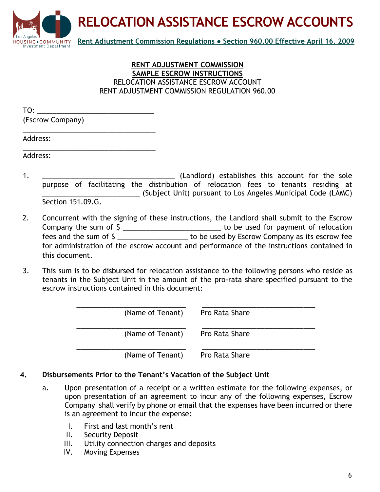

#### **RENT ADJUSTMENT COMMISSION SAMPLE ESCROW INSTRUCTIONS** RELOCATION ASSISTANCE ESCROW ACCOUNT RENT ADJUSTMENT COMMISSION REGULATION 960.00

| TO:              |  |
|------------------|--|
| (Escrow Company) |  |

\_\_\_\_\_\_\_\_\_\_\_\_\_\_\_\_\_\_\_\_\_\_\_\_\_\_\_\_\_\_\_\_\_\_

Address:

\_\_\_\_\_\_\_\_\_\_\_\_\_\_\_\_\_\_\_\_\_\_\_\_\_\_\_\_\_\_\_\_\_\_ Address:

- 1. \_\_\_\_\_\_\_\_\_\_\_\_\_\_\_\_\_\_\_\_\_\_\_\_\_\_\_\_\_\_\_\_\_\_ (Landlord) establishes this account for the sole purpose of facilitating the distribution of relocation fees to tenants residing at \_\_\_\_\_\_\_\_\_\_\_\_\_\_\_\_\_\_\_\_\_\_\_\_\_ (Subject Unit) pursuant to Los Angeles Municipal Code (LAMC) Section 151.09.G.
- 2. Concurrent with the signing of these instructions, the Landlord shall submit to the Escrow Company the sum of \$ \_\_\_\_\_\_\_\_\_\_\_\_\_\_\_\_\_\_\_\_\_\_\_\_\_\_\_\_\_\_\_ to be used for payment of relocation fees and the sum of \$ \_\_\_\_\_\_\_\_\_\_\_\_\_\_\_\_\_\_ to be used by Escrow Company as its escrow fee for administration of the escrow account and performance of the instructions contained in this document.
- 3. This sum is to be disbursed for relocation assistance to the following persons who reside as tenants in the Subject Unit in the amount of the pro-rata share specified pursuant to the escrow instructions contained in this document:

| (Name of Tenant) | Pro Rata Share |
|------------------|----------------|
| (Name of Tenant) | Pro Rata Share |
| (Name of Tenant) | Pro Rata Share |

#### **4. Disbursements Prior to the Tenant's Vacation of the Subject Unit**

- a. Upon presentation of a receipt or a written estimate for the following expenses, or upon presentation of an agreement to incur any of the following expenses, Escrow Company shall verify by phone or email that the expenses have been incurred or there is an agreement to incur the expense:
	- I. First and last month's rent
	- II. Security Deposit
	- III. Utility connection charges and deposits
	- IV. Moving Expenses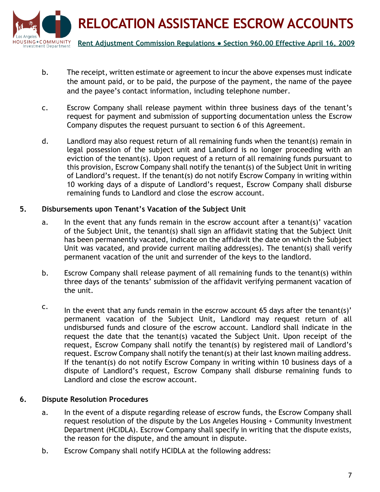

- b. The receipt, written estimate or agreement to incur the above expenses must indicate the amount paid, or to be paid, the purpose of the payment, the name of the payee and the payee's contact information, including telephone number.
- c. Escrow Company shall release payment within three business days of the tenant's request for payment and submission of supporting documentation unless the Escrow Company disputes the request pursuant to section 6 of this Agreement.
- d. Landlord may also request return of all remaining funds when the tenant(s) remain in legal possession of the subject unit and Landlord is no longer proceeding with an eviction of the tenant(s). Upon request of a return of all remaining funds pursuant to this provision, Escrow Company shall notify the tenant(s) of the Subject Unit in writing of Landlord's request. If the tenant(s) do not notify Escrow Company in writing within 10 working days of a dispute of Landlord's request, Escrow Company shall disburse remaining funds to Landlord and close the escrow account.

#### **5. Disbursements upon Tenant's Vacation of the Subject Unit**

- a. In the event that any funds remain in the escrow account after a tenant(s)' vacation of the Subject Unit, the tenant(s) shall sign an affidavit stating that the Subject Unit has been permanently vacated, indicate on the affidavit the date on which the Subject Unit was vacated, and provide current mailing address(es). The tenant(s) shall verify permanent vacation of the unit and surrender of the keys to the landlord.
- b. Escrow Company shall release payment of all remaining funds to the tenant(s) within three days of the tenants' submission of the affidavit verifying permanent vacation of the unit.
- $\text{c.}$  In the event that any funds remain in the escrow account 65 days after the tenant(s)' permanent vacation of the Subject Unit, Landlord may request return of all undisbursed funds and closure of the escrow account. Landlord shall indicate in the request the date that the tenant(s) vacated the Subject Unit. Upon receipt of the request, Escrow Company shall notify the tenant(s) by registered mail of Landlord's request. Escrow Company shall notify the tenant(s) at their last known mailing address. If the tenant(s) do not notify Escrow Company in writing within 10 business days of a dispute of Landlord's request, Escrow Company shall disburse remaining funds to Landlord and close the escrow account.

#### **6. Dispute Resolution Procedures**

- a. In the event of a dispute regarding release of escrow funds, the Escrow Company shall request resolution of the dispute by the Los Angeles Housing + Community Investment Department (HCIDLA). Escrow Company shall specify in writing that the dispute exists, the reason for the dispute, and the amount in dispute.
- b. Escrow Company shall notify HCIDLA at the following address: